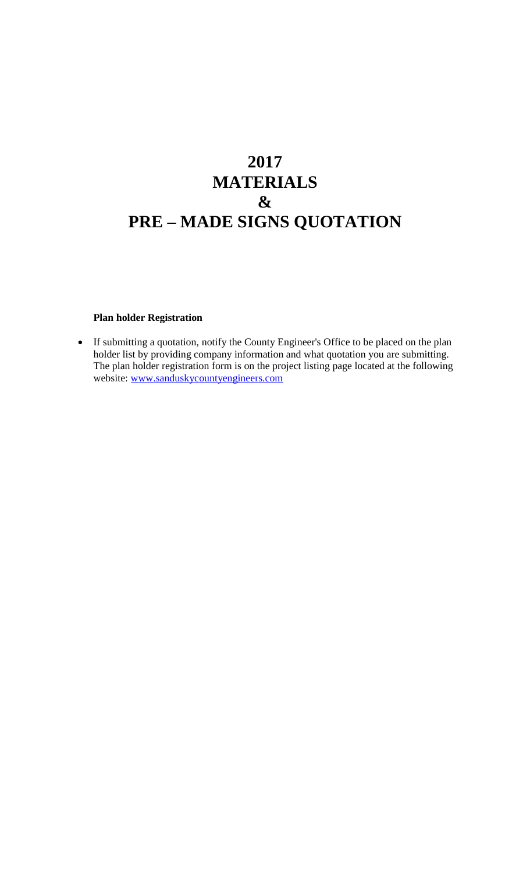# **2017 MATERIALS & PRE – MADE SIGNS QUOTATION**

#### **Plan holder Registration**

 If submitting a quotation, notify the County Engineer's Office to be placed on the plan holder list by providing company information and what quotation you are submitting. The plan holder registration form is on the project listing page located at the following website: [www.sanduskycountyengineers.com](http://www.sanduskycountyengineers.com/)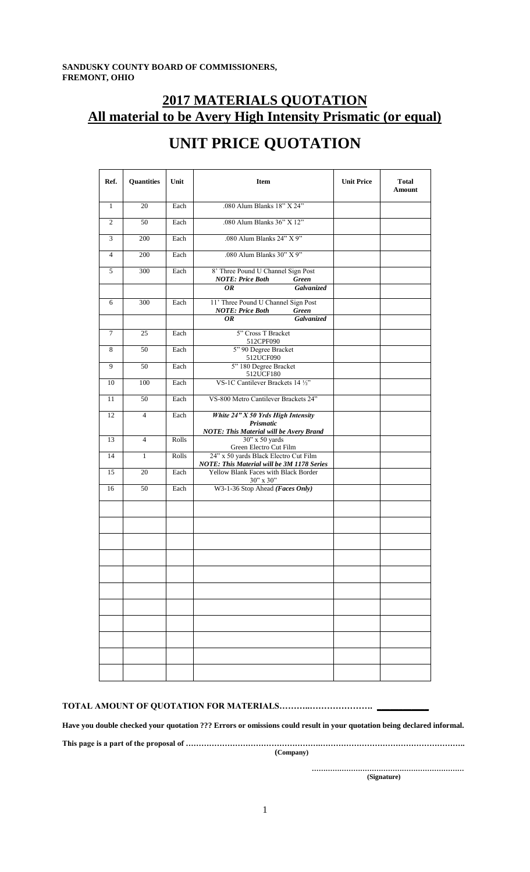### **2017 MATERIALS QUOTATION All material to be Avery High Intensity Prismatic (or equal)**

| Ref.           | <b>Quantities</b> | Unit  | Item                                                                                | <b>Unit Price</b> | <b>Total</b><br>Amount |
|----------------|-------------------|-------|-------------------------------------------------------------------------------------|-------------------|------------------------|
| $\mathbf{1}$   | 20                | Each  | .080 Alum Blanks 18" X 24"                                                          |                   |                        |
| $\overline{2}$ | $\overline{50}$   | Each  | .080 Alum Blanks 36" X 12"                                                          |                   |                        |
| 3              | 200               | Each  | .080 Alum Blanks 24" X 9"                                                           |                   |                        |
| $\overline{4}$ | 200               | Each  | .080 Alum Blanks 30" X 9"                                                           |                   |                        |
| 5              | 300               | Each  | 8' Three Pound U Channel Sign Post<br><b>NOTE: Price Both</b><br>Green              |                   |                        |
|                |                   |       | Galvanized<br>OR.                                                                   |                   |                        |
| 6              | 300               | Each  | 11' Three Pound U Channel Sign Post<br><b>NOTE: Price Both</b><br>Green             |                   |                        |
|                |                   |       | <b>Galvanized</b><br>OR.                                                            |                   |                        |
| $\overline{7}$ | 25                | Each  | 5" Cross T Bracket<br>512CPF090                                                     |                   |                        |
| 8              | 50                | Each  | 5" 90 Degree Bracket<br>512UCF090                                                   |                   |                        |
| 9              | 50                | Each  | 5" 180 Degree Bracket<br>512UCF180                                                  |                   |                        |
| 10             | 100               | Each  | VS-1C Cantilever Brackets 14 1/2"                                                   |                   |                        |
| 11             | 50                | Each  | VS-800 Metro Cantilever Brackets 24"                                                |                   |                        |
| 12             | $\overline{4}$    | Each  | White 24" X 50 Yrds High Intensity<br>Prismatic                                     |                   |                        |
|                |                   |       | <b>NOTE: This Material will be Avery Brand</b>                                      |                   |                        |
| 13             | $\overline{4}$    | Rolls | 30" x 50 yards<br>Green Electro Cut Film                                            |                   |                        |
| 14             | $\mathbf{1}$      | Rolls | 24" x 50 yards Black Electro Cut Film<br>NOTE: This Material will be 3M 1178 Series |                   |                        |
| 15             | 20                | Each  | Yellow Blank Faces with Black Border<br>30" x 30"                                   |                   |                        |
| 16             | 50                | Each  | W3-1-36 Stop Ahead (Faces Only)                                                     |                   |                        |
|                |                   |       |                                                                                     |                   |                        |
|                |                   |       |                                                                                     |                   |                        |
|                |                   |       |                                                                                     |                   |                        |
|                |                   |       |                                                                                     |                   |                        |
|                |                   |       |                                                                                     |                   |                        |
|                |                   |       |                                                                                     |                   |                        |
|                |                   |       |                                                                                     |                   |                        |
|                |                   |       |                                                                                     |                   |                        |
|                |                   |       |                                                                                     |                   |                        |
|                |                   |       |                                                                                     |                   |                        |
|                |                   |       |                                                                                     |                   |                        |

## **UNIT PRICE QUOTATION**

#### **TOTAL AMOUNT OF QUOTATION FOR MATERIALS………..…………………. \_\_\_\_\_\_\_\_\_\_\_\_**

**Have you double checked your quotation ??? Errors or omissions could result in your quotation being declared informal.**

**This page is a part of the proposal of …………………………………………….………………………………………………..**

 **(Company)**

**………………………………………………………… (Signature)**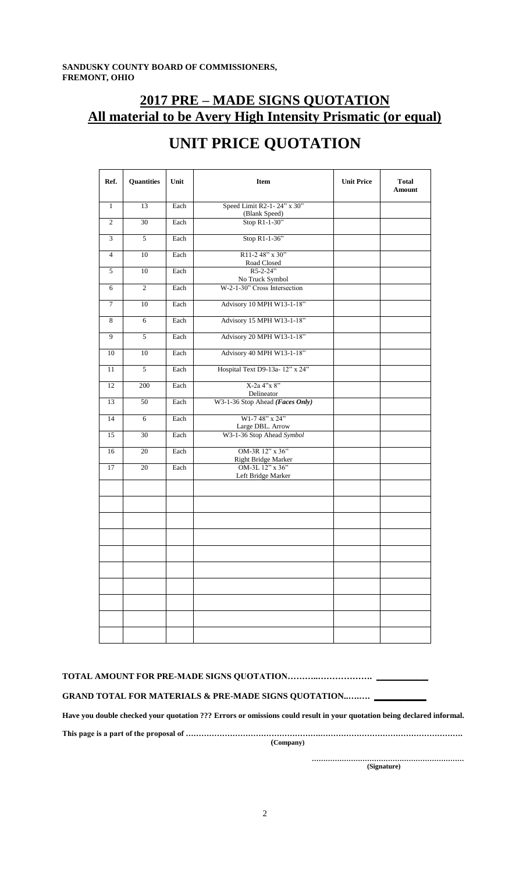### **2017 PRE – MADE SIGNS QUOTATION All material to be Avery High Intensity Prismatic (or equal)**

| Ref.           | <b>Quantities</b> | Unit | <b>Item</b>                                     | <b>Unit Price</b> | <b>Total</b><br>Amount |
|----------------|-------------------|------|-------------------------------------------------|-------------------|------------------------|
| $\mathbf{1}$   | 13                | Each | Speed Limit R2-1-24" x 30"                      |                   |                        |
| $\mathbf{2}$   | $\overline{30}$   | Each | (Blank Speed)<br>Stop R1-1-30"                  |                   |                        |
| 3              | $\overline{5}$    | Each | Stop R1-1-36"                                   |                   |                        |
| $\overline{4}$ | 10                | Each | R11-2 48" x 30"<br>Road Closed                  |                   |                        |
| 5              | 10                | Each | R5-2-24"                                        |                   |                        |
| 6              | $\mathfrak{2}$    | Each | No Truck Symbol<br>W-2-1-30" Cross Intersection |                   |                        |
| $\tau$         | 10                | Each | Advisory 10 MPH W13-1-18"                       |                   |                        |
| 8              | 6                 | Each | Advisory 15 MPH W13-1-18"                       |                   |                        |
| 9              | 5                 | Each | Advisory 20 MPH W13-1-18"                       |                   |                        |
| 10             | 10                | Each | Advisory 40 MPH W13-1-18"                       |                   |                        |
| 11             | $\sqrt{5}$        | Each | Hospital Text D9-13a- 12" x 24"                 |                   |                        |
| 12             | 200               | Each | X-2a 4"x 8"<br>Delineator                       |                   |                        |
| 13             | 50                | Each | W3-1-36 Stop Ahead (Faces Only)                 |                   |                        |
| 14             | 6                 | Each | W1-7 48" x 24"<br>Large DBL. Arrow              |                   |                        |
| 15             | 30                | Each | W3-1-36 Stop Ahead Symbol                       |                   |                        |
| 16             | 20                | Each | OM-3R 12" x 36"<br>Right Bridge Marker          |                   |                        |
| 17             | 20                | Each | OM-3L 12" x 36"<br>Left Bridge Marker           |                   |                        |
|                |                   |      |                                                 |                   |                        |
|                |                   |      |                                                 |                   |                        |
|                |                   |      |                                                 |                   |                        |
|                |                   |      |                                                 |                   |                        |
|                |                   |      |                                                 |                   |                        |
|                |                   |      |                                                 |                   |                        |
|                |                   |      |                                                 |                   |                        |
|                |                   |      |                                                 |                   |                        |
|                |                   |      |                                                 |                   |                        |
|                |                   |      |                                                 |                   |                        |

## **UNIT PRICE QUOTATION**

|  | <b>TOTAL AMOUNT FOR PRE-MADE SIGNS QUOTATION</b> |  |
|--|--------------------------------------------------|--|
|--|--------------------------------------------------|--|

GRAND TOTAL FOR MATERIALS & PRE-MADE SIGNS QUOTATION..........

**Have you double checked your quotation ??? Errors or omissions could result in your quotation being declared informal.**

**This page is a part of the proposal of …………………………………………….………………………………………………. (Company)**

**………………………………………………………… (Signature)**